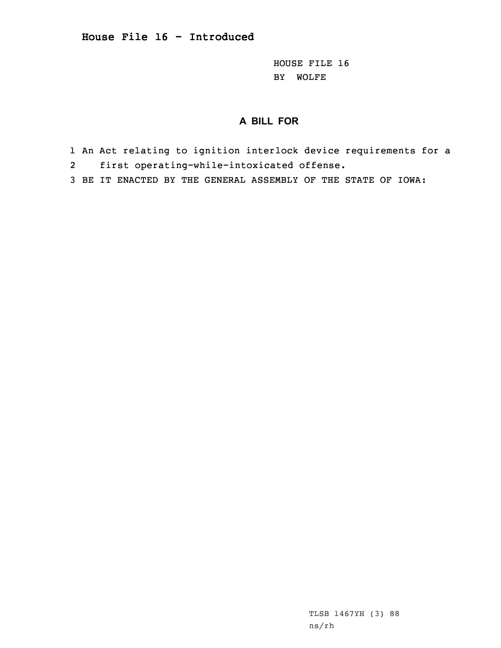HOUSE FILE 16 BY WOLFE

## **A BILL FOR**

- 1 An Act relating to ignition interlock device requirements for <sup>a</sup>
- 2first operating-while-intoxicated offense.
- 3 BE IT ENACTED BY THE GENERAL ASSEMBLY OF THE STATE OF IOWA: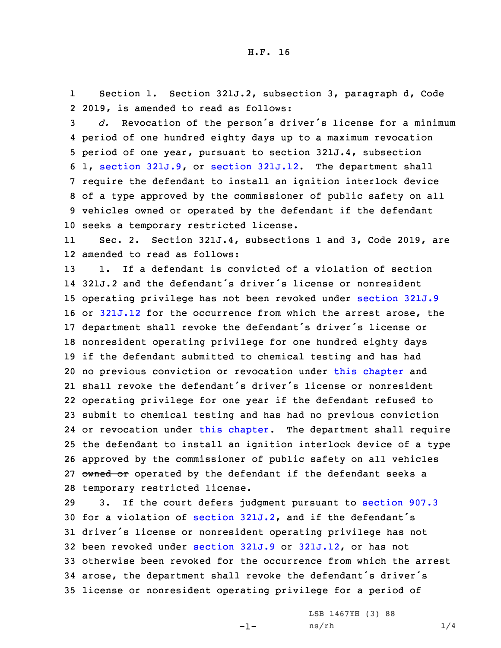1 Section 1. Section 321J.2, subsection 3, paragraph d, Code 2 2019, is amended to read as follows:

 *d.* Revocation of the person's driver's license for <sup>a</sup> minimum period of one hundred eighty days up to <sup>a</sup> maximum revocation period of one year, pursuant to section 321J.4, subsection 1, section [321J.9](https://www.legis.iowa.gov/docs/code/2019/321J.9.pdf), or section [321J.12](https://www.legis.iowa.gov/docs/code/2019/321J.12.pdf). The department shall require the defendant to install an ignition interlock device of <sup>a</sup> type approved by the commissioner of public safety on all 9 vehicles owned or operated by the defendant if the defendant seeks <sup>a</sup> temporary restricted license.

11 Sec. 2. Section 321J.4, subsections 1 and 3, Code 2019, are 12 amended to read as follows:

 1. If <sup>a</sup> defendant is convicted of <sup>a</sup> violation of section 321J.2 and the defendant's driver's license or nonresident operating privilege has not been revoked under [section](https://www.legis.iowa.gov/docs/code/2019/321J.9.pdf) 321J.9 or [321J.12](https://www.legis.iowa.gov/docs/code/2019/321J.12.pdf) for the occurrence from which the arrest arose, the department shall revoke the defendant's driver's license or nonresident operating privilege for one hundred eighty days if the defendant submitted to chemical testing and has had no previous conviction or revocation under this [chapter](https://www.legis.iowa.gov/docs/code/2019/321J.pdf) and shall revoke the defendant's driver's license or nonresident operating privilege for one year if the defendant refused to submit to chemical testing and has had no previous conviction or revocation under this [chapter](https://www.legis.iowa.gov/docs/code/2019/321J.pdf). The department shall require the defendant to install an ignition interlock device of <sup>a</sup> type approved by the commissioner of public safety on all vehicles 27 owned or operated by the defendant if the defendant seeks a temporary restricted license.

 3. If the court defers judgment pursuant to [section](https://www.legis.iowa.gov/docs/code/2019/907.3.pdf) 907.3 for <sup>a</sup> violation of [section](https://www.legis.iowa.gov/docs/code/2019/321J.2.pdf) 321J.2, and if the defendant's driver's license or nonresident operating privilege has not been revoked under [section](https://www.legis.iowa.gov/docs/code/2019/321J.9.pdf) 321J.9 or [321J.12](https://www.legis.iowa.gov/docs/code/2019/321J.12.pdf), or has not otherwise been revoked for the occurrence from which the arrest arose, the department shall revoke the defendant's driver's license or nonresident operating privilege for <sup>a</sup> period of

-1-

LSB 1467YH (3) 88 ns/rh 1/4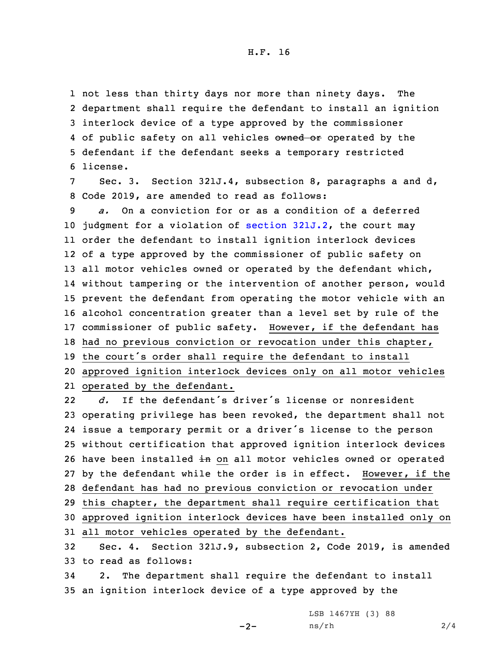H.F. 16

 not less than thirty days nor more than ninety days. The department shall require the defendant to install an ignition interlock device of <sup>a</sup> type approved by the commissioner 4 of public safety on all vehicles owned or operated by the defendant if the defendant seeks <sup>a</sup> temporary restricted 6 license.

7 Sec. 3. Section 321J.4, subsection 8, paragraphs <sup>a</sup> and d, 8 Code 2019, are amended to read as follows:

 *a.* On <sup>a</sup> conviction for or as <sup>a</sup> condition of <sup>a</sup> deferred judgment for <sup>a</sup> violation of section [321J.2](https://www.legis.iowa.gov/docs/code/2019/321J.2.pdf), the court may order the defendant to install ignition interlock devices of <sup>a</sup> type approved by the commissioner of public safety on 13 all motor vehicles owned or operated by the defendant which, without tampering or the intervention of another person, would prevent the defendant from operating the motor vehicle with an alcohol concentration greater than <sup>a</sup> level set by rule of the commissioner of public safety. However, if the defendant has had no previous conviction or revocation under this chapter, the court's order shall require the defendant to install approved ignition interlock devices only on all motor vehicles operated by the defendant.

22 *d.* If the defendant's driver's license or nonresident operating privilege has been revoked, the department shall not issue <sup>a</sup> temporary permit or <sup>a</sup> driver's license to the person without certification that approved ignition interlock devices 26 have been installed in on all motor vehicles owned or operated by the defendant while the order is in effect. However, if the defendant has had no previous conviction or revocation under this chapter, the department shall require certification that approved ignition interlock devices have been installed only on all motor vehicles operated by the defendant. Sec. 4. Section 321J.9, subsection 2, Code 2019, is amended to read as follows:

34 2. The department shall require the defendant to install 35 an ignition interlock device of <sup>a</sup> type approved by the

 $-2-$ 

LSB 1467YH (3) 88  $ns/rh$  2/4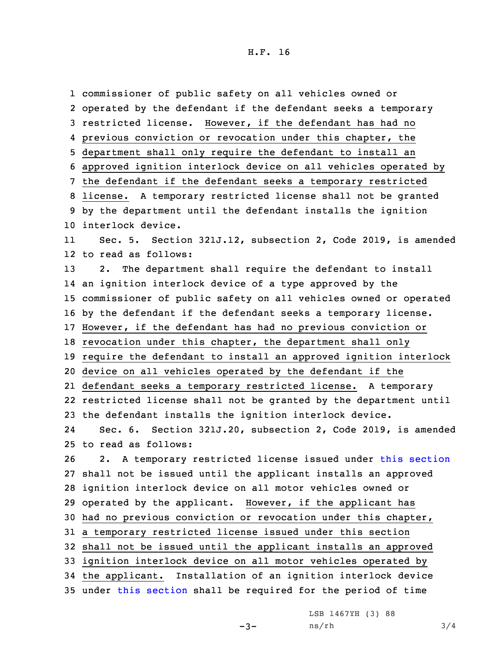## H.F. 16

 commissioner of public safety on all vehicles owned or operated by the defendant if the defendant seeks <sup>a</sup> temporary restricted license. However, if the defendant has had no previous conviction or revocation under this chapter, the department shall only require the defendant to install an approved ignition interlock device on all vehicles operated by the defendant if the defendant seeks <sup>a</sup> temporary restricted license. <sup>A</sup> temporary restricted license shall not be granted by the department until the defendant installs the ignition interlock device. 11 Sec. 5. Section 321J.12, subsection 2, Code 2019, is amended to read as follows: 2. The department shall require the defendant to install an ignition interlock device of <sup>a</sup> type approved by the commissioner of public safety on all vehicles owned or operated by the defendant if the defendant seeks <sup>a</sup> temporary license. However, if the defendant has had no previous conviction or revocation under this chapter, the department shall only require the defendant to install an approved ignition interlock device on all vehicles operated by the defendant if the defendant seeks <sup>a</sup> temporary restricted license. <sup>A</sup> temporary restricted license shall not be granted by the department until the defendant installs the ignition interlock device. 24 Sec. 6. Section 321J.20, subsection 2, Code 2019, is amended to read as follows: 2. <sup>A</sup> temporary restricted license issued under this [section](https://www.legis.iowa.gov/docs/code/2019/321J.20.pdf) shall not be issued until the applicant installs an approved ignition interlock device on all motor vehicles owned or operated by the applicant. However, if the applicant has had no previous conviction or revocation under this chapter, <sup>a</sup> temporary restricted license issued under this section shall not be issued until the applicant installs an approved ignition interlock device on all motor vehicles operated by the applicant. Installation of an ignition interlock device under this [section](https://www.legis.iowa.gov/docs/code/2019/321J.20.pdf) shall be required for the period of time

LSB 1467YH (3) 88

```
-3-
```